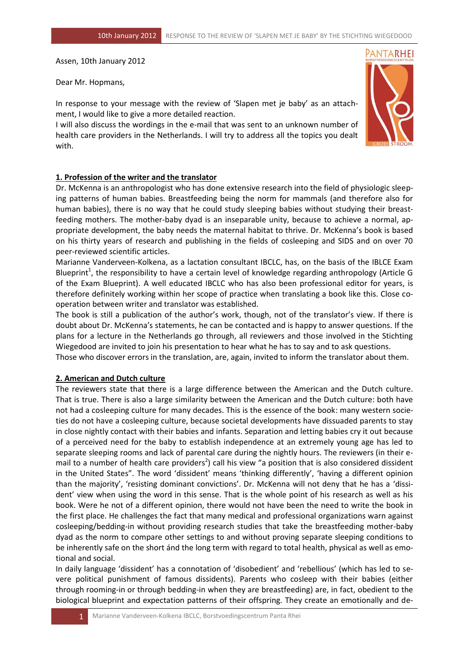Assen, 10th January 2012

Dear Mr. Hopmans,

In response to your message with the review of 'Slapen met je baby' as an attachment, I would like to give a more detailed reaction.

I will also discuss the wordings in the e-mail that was sent to an unknown number of health care providers in the Netherlands. I will try to address all the topics you dealt with.



## **1. Profession of the writer and the translator**

Dr. McKenna is an anthropologist who has done extensive research into the field of physiologic sleeping patterns of human babies. Breastfeeding being the norm for mammals (and therefore also for human babies), there is no way that he could study sleeping babies without studying their breastfeeding mothers. The mother-baby dyad is an inseparable unity, because to achieve a normal, appropriate development, the baby needs the maternal habitat to thrive. Dr. McKenna's book is based on his thirty years of research and publishing in the fields of cosleeping and SIDS and on over 70 peer-reviewed scientific articles.

Marianne Vanderveen-Kolkena, as a lactation consultant IBCLC, has, on the basis of the IBLCE Exam Blueprint<sup>1</sup>, the responsibility to have a certain level of knowledge regarding anthropology (Article G of the Exam Blueprint). A well educated IBCLC who has also been professional editor for years, is therefore definitely working within her scope of practice when translating a book like this. Close cooperation between writer and translator was established.

The book is still a publication of the author's work, though, not of the translator's view. If there is doubt about Dr. McKenna's statements, he can be contacted and is happy to answer questions. If the plans for a lecture in the Netherlands go through, all reviewers and those involved in the Stichting Wiegedood are invited to join his presentation to hear what he has to say and to ask questions.

Those who discover errors in the translation, are, again, invited to inform the translator about them.

### **2. American and Dutch culture**

The reviewers state that there is a large difference between the American and the Dutch culture. That is true. There is also a large similarity between the American and the Dutch culture: both have not had a cosleeping culture for many decades. This is the essence of the book: many western societies do not have a cosleeping culture, because societal developments have dissuaded parents to stay in close nightly contact with their babies and infants. Separation and letting babies cry it out because of a perceived need for the baby to establish independence at an extremely young age has led to separate sleeping rooms and lack of parental care during the nightly hours. The reviewers (in their email to a number of health care providers<sup>2</sup>) call his view "a position that is also considered dissident in the United States". The word 'dissident' means 'thinking differently', 'having a different opinion than the majority', 'resisting dominant convictions'. Dr. McKenna will not deny that he has a 'dissident' view when using the word in this sense. That is the whole point of his research as well as his book. Were he not of a different opinion, there would not have been the need to write the book in the first place. He challenges the fact that many medical and professional organizations warn against cosleeping/bedding-in without providing research studies that take the breastfeeding mother-baby dyad as the norm to compare other settings to and without proving separate sleeping conditions to be inherently safe on the short ánd the long term with regard to total health, physical as well as emotional and social.

In daily language 'dissident' has a connotation of 'disobedient' and 'rebellious' (which has led to severe political punishment of famous dissidents). Parents who cosleep with their babies (either through rooming-in or through bedding-in when they are breastfeeding) are, in fact, obedient to the biological blueprint and expectation patterns of their offspring. They create an emotionally and de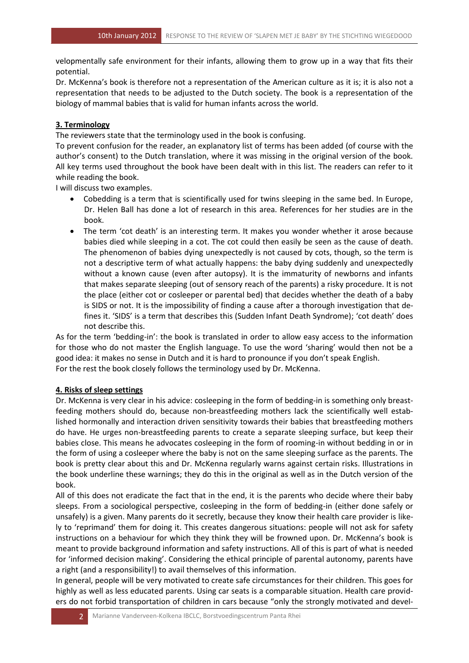velopmentally safe environment for their infants, allowing them to grow up in a way that fits their potential.

Dr. McKenna's book is therefore not a representation of the American culture as it is; it is also not a representation that needs to be adjusted to the Dutch society. The book is a representation of the biology of mammal babies that is valid for human infants across the world.

# **3. Terminology**

The reviewers state that the terminology used in the book is confusing.

To prevent confusion for the reader, an explanatory list of terms has been added (of course with the author's consent) to the Dutch translation, where it was missing in the original version of the book. All key terms used throughout the book have been dealt with in this list. The readers can refer to it while reading the book.

I will discuss two examples.

- Cobedding is a term that is scientifically used for twins sleeping in the same bed. In Europe, Dr. Helen Ball has done a lot of research in this area. References for her studies are in the book.
- The term 'cot death' is an interesting term. It makes you wonder whether it arose because babies died while sleeping in a cot. The cot could then easily be seen as the cause of death. The phenomenon of babies dying unexpectedly is not caused by cots, though, so the term is not a descriptive term of what actually happens: the baby dying suddenly and unexpectedly without a known cause (even after autopsy). It is the immaturity of newborns and infants that makes separate sleeping (out of sensory reach of the parents) a risky procedure. It is not the place (either cot or cosleeper or parental bed) that decides whether the death of a baby is SIDS or not. It is the impossibility of finding a cause after a thorough investigation that defines it. 'SIDS' is a term that describes this (Sudden Infant Death Syndrome); 'cot death' does not describe this.

As for the term 'bedding-in': the book is translated in order to allow easy access to the information for those who do not master the English language. To use the word 'sharing' would then not be a good idea: it makes no sense in Dutch and it is hard to pronounce if you don't speak English. For the rest the book closely follows the terminology used by Dr. McKenna.

# **4. Risks of sleep settings**

Dr. McKenna is very clear in his advice: cosleeping in the form of bedding-in is something only breastfeeding mothers should do, because non-breastfeeding mothers lack the scientifically well established hormonally and interaction driven sensitivity towards their babies that breastfeeding mothers do have. He urges non-breastfeeding parents to create a separate sleeping surface, but keep their babies close. This means he advocates cosleeping in the form of rooming-in without bedding in or in the form of using a cosleeper where the baby is not on the same sleeping surface as the parents. The book is pretty clear about this and Dr. McKenna regularly warns against certain risks. Illustrations in the book underline these warnings; they do this in the original as well as in the Dutch version of the book.

All of this does not eradicate the fact that in the end, it is the parents who decide where their baby sleeps. From a sociological perspective, cosleeping in the form of bedding-in (either done safely or unsafely) is a given. Many parents do it secretly, because they know their health care provider is likely to 'reprimand' them for doing it. This creates dangerous situations: people will not ask for safety instructions on a behaviour for which they think they will be frowned upon. Dr. McKenna's book is meant to provide background information and safety instructions. All of this is part of what is needed for 'informed decision making'. Considering the ethical principle of parental autonomy, parents have a right (and a responsibility!) to avail themselves of this information.

In general, people will be very motivated to create safe circumstances for their children. This goes for highly as well as less educated parents. Using car seats is a comparable situation. Health care providers do not forbid transportation of children in cars because "only the strongly motivated and devel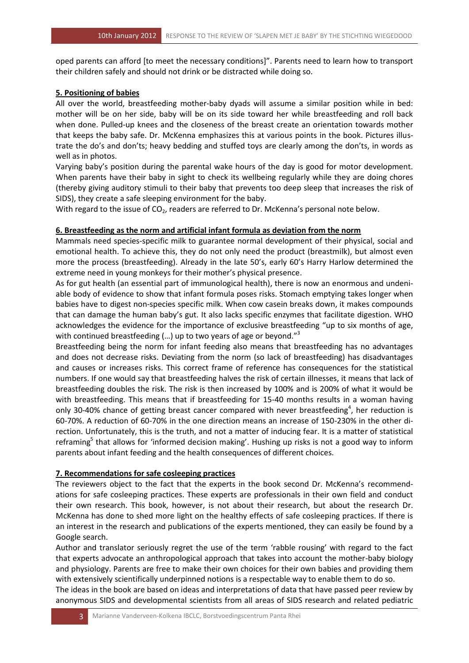oped parents can afford [to meet the necessary conditions]". Parents need to learn how to transport their children safely and should not drink or be distracted while doing so.

# **5. Positioning of babies**

All over the world, breastfeeding mother-baby dyads will assume a similar position while in bed: mother will be on her side, baby will be on its side toward her while breastfeeding and roll back when done. Pulled-up knees and the closeness of the breast create an orientation towards mother that keeps the baby safe. Dr. McKenna emphasizes this at various points in the book. Pictures illustrate the do's and don'ts; heavy bedding and stuffed toys are clearly among the don'ts, in words as well as in photos.

Varying baby's position during the parental wake hours of the day is good for motor development. When parents have their baby in sight to check its wellbeing regularly while they are doing chores (thereby giving auditory stimuli to their baby that prevents too deep sleep that increases the risk of SIDS), they create a safe sleeping environment for the baby.

With regard to the issue of  $CO<sub>2</sub>$ , readers are referred to Dr. McKenna's personal note below.

## **6. Breastfeeding as the norm and artificial infant formula as deviation from the norm**

Mammals need species-specific milk to guarantee normal development of their physical, social and emotional health. To achieve this, they do not only need the product (breastmilk), but almost even more the process (breastfeeding). Already in the late 50's, early 60's Harry Harlow determined the extreme need in young monkeys for their mother's physical presence.

As for gut health (an essential part of immunological health), there is now an enormous and undeniable body of evidence to show that infant formula poses risks. Stomach emptying takes longer when babies have to digest non-species specific milk. When cow casein breaks down, it makes compounds that can damage the human baby's gut. It also lacks specific enzymes that facilitate digestion. WHO acknowledges the evidence for the importance of exclusive breastfeeding "up to six months of age, with continued breastfeeding (...) up to two years of age or beyond."<sup>3</sup>

Breastfeeding being the norm for infant feeding also means that breastfeeding has no advantages and does not decrease risks. Deviating from the norm (so lack of breastfeeding) has disadvantages and causes or increases risks. This correct frame of reference has consequences for the statistical numbers. If one would say that breastfeeding halves the risk of certain illnesses, it means that lack of breastfeeding doubles the risk. The risk is then increased by 100% and is 200% of what it would be with breastfeeding. This means that if breastfeeding for 15-40 months results in a woman having only 30-40% chance of getting breast cancer compared with never breastfeeding<sup>4</sup>, her reduction is 60-70%. A reduction of 60-70% in the one direction means an increase of 150-230% in the other direction. Unfortunately, this is the truth, and not a matter of inducing fear. It is a matter of statistical reframing<sup>5</sup> that allows for 'informed decision making'. Hushing up risks is not a good way to inform parents about infant feeding and the health consequences of different choices.

# **7. Recommendations for safe cosleeping practices**

The reviewers object to the fact that the experts in the book second Dr. McKenna's recommendations for safe cosleeping practices. These experts are professionals in their own field and conduct their own research. This book, however, is not about their research, but about the research Dr. McKenna has done to shed more light on the healthy effects of safe cosleeping practices. If there is an interest in the research and publications of the experts mentioned, they can easily be found by a Google search.

Author and translator seriously regret the use of the term 'rabble rousing' with regard to the fact that experts advocate an anthropological approach that takes into account the mother-baby biology and physiology. Parents are free to make their own choices for their own babies and providing them with extensively scientifically underpinned notions is a respectable way to enable them to do so.

The ideas in the book are based on ideas and interpretations of data that have passed peer review by anonymous SIDS and developmental scientists from all areas of SIDS research and related pediatric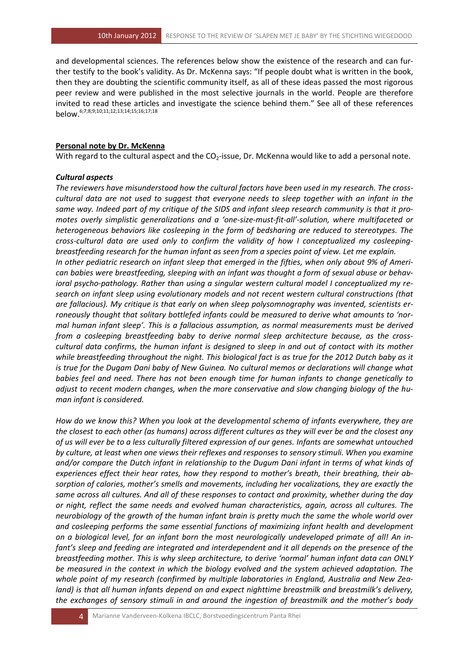and developmental sciences. The references below show the existence of the research and can further testify to the book's validity. As Dr. McKenna says: "If people doubt what is written in the book, then they are doubting the scientific community itself, as all of these ideas passed the most rigorous peer review and were published in the most selective journals in the world. People are therefore invited to read these articles and investigate the science behind them." See all of these references below.6;7;8;9;10;11;12;13;14;15;16;17;18

#### **Personal note by Dr. McKenna**

With regard to the cultural aspect and the CO<sub>2</sub>-issue, Dr. McKenna would like to add a personal note.

#### *Cultural aspects*

*The reviewers have misunderstood how the cultural factors have been used in my research. The crosscultural data are not used to suggest that everyone needs to sleep together with an infant in the same way. Indeed part of my critique of the SIDS and infant sleep research community is that it promotes overly simplistic generalizations and a 'one-size-must-fit-all'-solution, where multifaceted or heterogeneous behaviors like cosleeping in the form of bedsharing are reduced to stereotypes. The cross-cultural data are used only to confirm the validity of how I conceptualized my cosleepingbreastfeeding research for the human infant as seen from a species point of view. Let me explain. In other pediatric research on infant sleep that emerged in the fifties, when only about 9% of American babies were breastfeeding, sleeping with an infant was thought a form of sexual abuse or behavioral psycho-pathology. Rather than using a singular western cultural model I conceptualized my research on infant sleep using evolutionary models and not recent western cultural constructions (that are fallacious). My critique is that early on when sleep polysomnography was invented, scientists erroneously thought that solitary bottlefed infants could be measured to derive what amounts to 'normal human infant sleep'. This is a fallacious assumption, as normal measurements must be derived from a cosleeping breastfeeding baby to derive normal sleep architecture because, as the crosscultural data confirms, the human infant is designed to sleep in and out of contact with its mother while breastfeeding throughout the night. This biological fact is as true for the 2012 Dutch baby as it is true for the Dugam Dani baby of New Guinea. No cultural memos or declarations will change what babies feel and need. There has not been enough time for human infants to change genetically to adjust to recent modern changes, when the more conservative and slow changing biology of the human infant is considered.* 

*How do we know this? When you look at the developmental schema of infants everywhere, they are the closest to each other (as humans) across different cultures as they will ever be and the closest any of us will ever be to a less culturally filtered expression of our genes. Infants are somewhat untouched by culture, at least when one views their reflexes and responses to sensory stimuli. When you examine and/or compare the Dutch infant in relationship to the Dugum Dani infant in terms of what kinds of experiences effect their hear rates, how they respond to mother's breath, their breathing, their absorption of calories, mother's smells and movements, including her vocalizations, they are exactly the same across all cultures. And all of these responses to contact and proximity, whether during the day or night, reflect the same needs and evolved human characteristics, again, across all cultures. The neurobiology of the growth of the human infant brain is pretty much the same the whole world over and cosleeping performs the same essential functions of maximizing infant health and development on a biological level, for an infant born the most neurologically undeveloped primate of all! An infant's sleep and feeding are integrated and interdependent and it all depends on the presence of the breastfeeding mother. This is why sleep architecture, to derive 'normal' human infant data can ONLY be measured in the context in which the biology evolved and the system achieved adaptation. The whole point of my research (confirmed by multiple laboratories in England, Australia and New Zealand) is that all human infants depend on and expect nighttime breastmilk and breastmilk's delivery, the exchanges of sensory stimuli in and around the ingestion of breastmilk and the mother's body*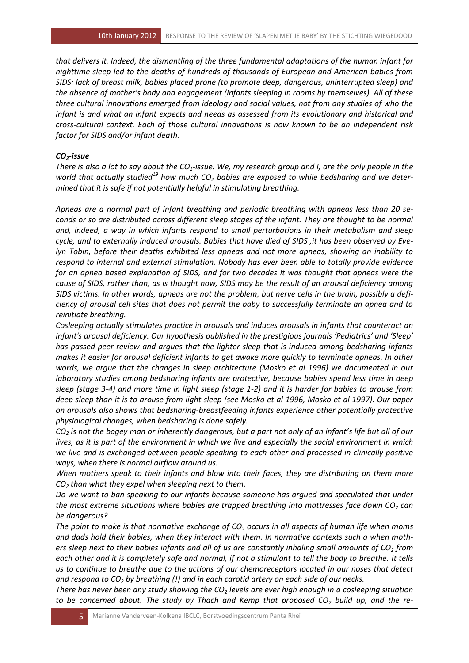*that delivers it. Indeed, the dismantling of the three fundamental adaptations of the human infant for nighttime sleep led to the deaths of hundreds of thousands of European and American babies from SIDS: lack of breast milk, babies placed prone (to promote deep, dangerous, uninterrupted sleep) and the absence of mother's body and engagement (infants sleeping in rooms by themselves). All of these three cultural innovations emerged from ideology and social values, not from any studies of who the infant is and what an infant expects and needs as assessed from its evolutionary and historical and cross-cultural context. Each of those cultural innovations is now known to be an independent risk factor for SIDS and/or infant death.*

## *CO2-issue*

*There is also a lot to say about the CO2-issue. We, my research group and I, are the only people in the world that actually studied<sup>19</sup> how much CO<sup>2</sup> babies are exposed to while bedsharing and we determined that it is safe if not potentially helpful in stimulating breathing.*

*Apneas are a normal part of infant breathing and periodic breathing with apneas less than 20 seconds or so are distributed across different sleep stages of the infant. They are thought to be normal and, indeed, a way in which infants respond to small perturbations in their metabolism and sleep cycle, and to externally induced arousals. Babies that have died of SIDS ,it has been observed by Evelyn Tobin, before their deaths exhibited less apneas and not more apneas, showing an inability to respond to internal and external stimulation. Nobody has ever been able to totally provide evidence for an apnea based explanation of SIDS, and for two decades it was thought that apneas were the cause of SIDS, rather than, as is thought now, SIDS may be the result of an arousal deficiency among SIDS victims. In other words, apneas are not the problem, but nerve cells in the brain, possibly a deficiency of arousal cell sites that does not permit the baby to successfully terminate an apnea and to reinitiate breathing.*

*Cosleeping actually stimulates practice in arousals and induces arousals in infants that counteract an infant's arousal deficiency. Our hypothesis published in the prestigious journals 'Pediatrics' and 'Sleep' has passed peer review and argues that the lighter sleep that is induced among bedsharing infants makes it easier for arousal deficient infants to get awake more quickly to terminate apneas. In other words, we argue that the changes in sleep architecture (Mosko et al 1996) we documented in our laboratory studies among bedsharing infants are protective, because babies spend less time in deep sleep (stage 3-4) and more time in light sleep (stage 1-2) and it is harder for babies to arouse from deep sleep than it is to arouse from light sleep (see Mosko et al 1996, Mosko et al 1997). Our paper on arousals also shows that bedsharing-breastfeeding infants experience other potentially protective physiological changes, when bedsharing is done safely.*

*CO<sup>2</sup> is not the bogey man or inherently dangerous, but a part not only of an infant's life but all of our lives, as it is part of the environment in which we live and especially the social environment in which we live and is exchanged between people speaking to each other and processed in clinically positive ways, when there is normal airflow around us.*

*When mothers speak to their infants and blow into their faces, they are distributing on them more CO<sup>2</sup> than what they expel when sleeping next to them.* 

*Do we want to ban speaking to our infants because someone has argued and speculated that under the most extreme situations where babies are trapped breathing into mattresses face down CO<sup>2</sup> can be dangerous?*

*The point to make is that normative exchange of CO<sup>2</sup> occurs in all aspects of human life when moms and dads hold their babies, when they interact with them. In normative contexts such a when mothers sleep next to their babies infants and all of us are constantly inhaling small amounts of CO<sup>2</sup> from each other and it is completely safe and normal, if not a stimulant to tell the body to breathe. It tells us to continue to breathe due to the actions of our chemoreceptors located in our noses that detect and respond to CO<sup>2</sup> by breathing (!) and in each carotid artery on each side of our necks.* 

*There has never been any study showing the CO<sup>2</sup> levels are ever high enough in a cosleeping situation to be concerned about. The study by Thach and Kemp that proposed CO<sup>2</sup> build up, and the re-*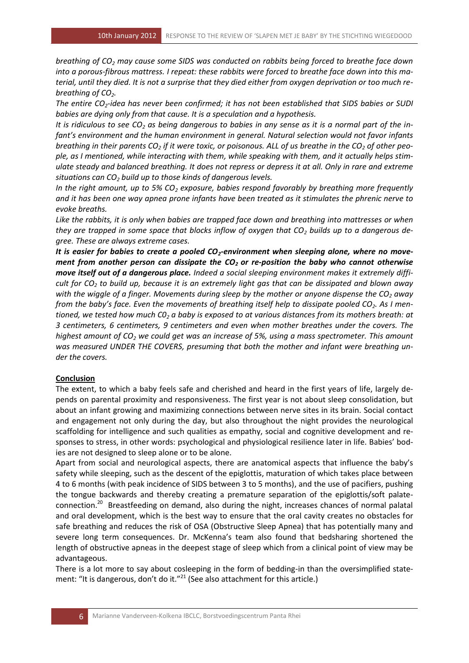*breathing of CO<sup>2</sup> may cause some SIDS was conducted on rabbits being forced to breathe face down into a porous-fibrous mattress. I repeat: these rabbits were forced to breathe face down into this material, until they died. It is not a surprise that they died either from oxygen deprivation or too much rebreathing of CO2.*

*The entire CO2-idea has never been confirmed; it has not been established that SIDS babies or SUDI babies are dying only from that cause. It is a speculation and a hypothesis.*

*It is ridiculous to see CO<sup>2</sup> as being dangerous to babies in any sense as it is a normal part of the infant's environment and the human environment in general. Natural selection would not favor infants breathing in their parents CO<sup>2</sup> if it were toxic, or poisonous. ALL of us breathe in the CO<sup>2</sup> of other people, as I mentioned, while interacting with them, while speaking with them, and it actually helps stimulate steady and balanced breathing. It does not repress or depress it at all. Only in rare and extreme situations can CO<sup>2</sup> build up to those kinds of dangerous levels.* 

*In the right amount, up to 5% CO<sup>2</sup> exposure, babies respond favorably by breathing more frequently and it has been one way apnea prone infants have been treated as it stimulates the phrenic nerve to evoke breaths.*

*Like the rabbits, it is only when babies are trapped face down and breathing into mattresses or when they are trapped in some space that blocks inflow of oxygen that CO<sub>2</sub> builds up to a dangerous degree. These are always extreme cases.*

*It is easier for babies to create a pooled CO2-environment when sleeping alone, where no movement from another person can dissipate the CO2 or re-position the baby who cannot otherwise move itself out of a dangerous place. Indeed a social sleeping environment makes it extremely difficult for CO<sup>2</sup> to build up, because it is an extremely light gas that can be dissipated and blown away with the wiggle of a finger. Movements during sleep by the mother or anyone dispense the CO<sup>2</sup> away from the baby's face. Even the movements of breathing itself help to dissipate pooled CO2. As I mentioned, we tested how much C0<sup>2</sup> a baby is exposed to at various distances from its mothers breath: at 3 centimeters, 6 centimeters, 9 centimeters and even when mother breathes under the covers. The highest amount of CO<sup>2</sup> we could get was an increase of 5%, using a mass spectrometer. This amount was measured UNDER THE COVERS, presuming that both the mother and infant were breathing under the covers.*

## **Conclusion**

The extent, to which a baby feels safe and cherished and heard in the first years of life, largely depends on parental proximity and responsiveness. The first year is not about sleep consolidation, but about an infant growing and maximizing connections between nerve sites in its brain. Social contact and engagement not only during the day, but also throughout the night provides the neurological scaffolding for intelligence and such qualities as empathy, social and cognitive development and responses to stress, in other words: psychological and physiological resilience later in life. Babies' bodies are not designed to sleep alone or to be alone.

Apart from social and neurological aspects, there are anatomical aspects that influence the baby's safety while sleeping, such as the descent of the epiglottis, maturation of which takes place between 4 to 6 months (with peak incidence of SIDS between 3 to 5 months), and the use of pacifiers, pushing the tongue backwards and thereby creating a premature separation of the epiglottis/soft palateconnection.<sup>20</sup> Breastfeeding on demand, also during the night, increases chances of normal palatal and oral development, which is the best way to ensure that the oral cavity creates no obstacles for safe breathing and reduces the risk of OSA (Obstructive Sleep Apnea) that has potentially many and severe long term consequences. Dr. McKenna's team also found that bedsharing shortened the length of obstructive apneas in the deepest stage of sleep which from a clinical point of view may be advantageous.

There is a lot more to say about cosleeping in the form of bedding-in than the oversimplified statement: "It is dangerous, don't do it."<sup>21</sup> (See also attachment for this article.)